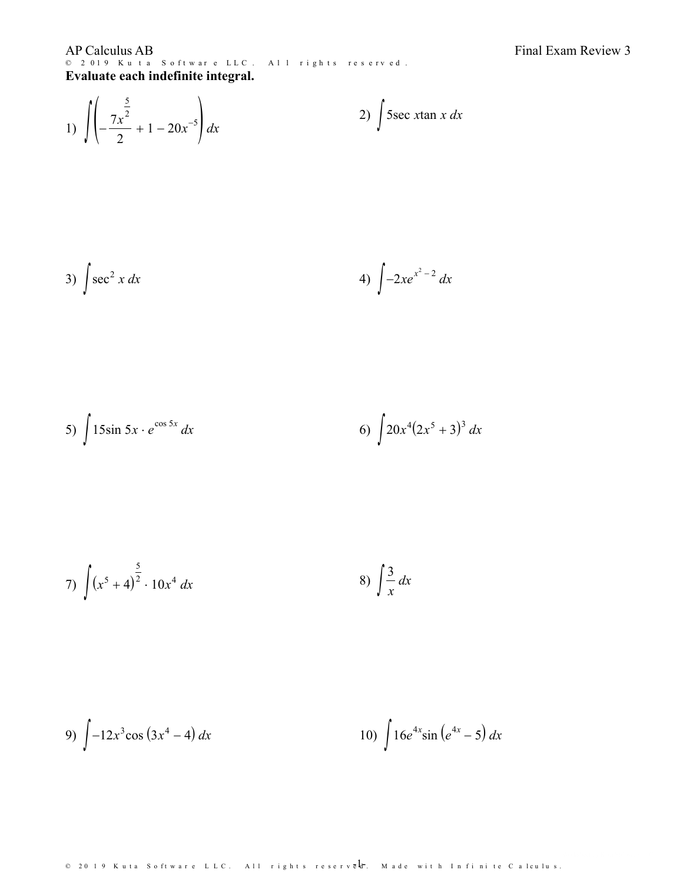**AP Calculus AB** © 2019 Kuta Software LLC. All rights reserved. Evaluate each indefinite integral.

1) 
$$
\int \left(-\frac{7x^{\frac{5}{2}}}{2} + 1 - 20x^{-5}\right) dx
$$
 2)  $\int 5 \sec x \tan x \ dx$ 

3) 
$$
\int \sec^2 x \, dx
$$
 4)  $\int -2xe^{x^2-2} \, dx$ 

5) 
$$
\int 15\sin 5x \cdot e^{\cos 5x} dx
$$
 6) 
$$
\int 20x^4 (2x^5 + 3)^3 dx
$$

7) 
$$
\int (x^5 + 4)^{\frac{5}{2}} \cdot 10x^4 dx
$$
 8) 
$$
\int \frac{3}{x} dx
$$

9) 
$$
\int -12x^3 \cos(3x^4 - 4) dx
$$
 10)  $\int 16e^{4x} \sin(e^{4x} - 5) dx$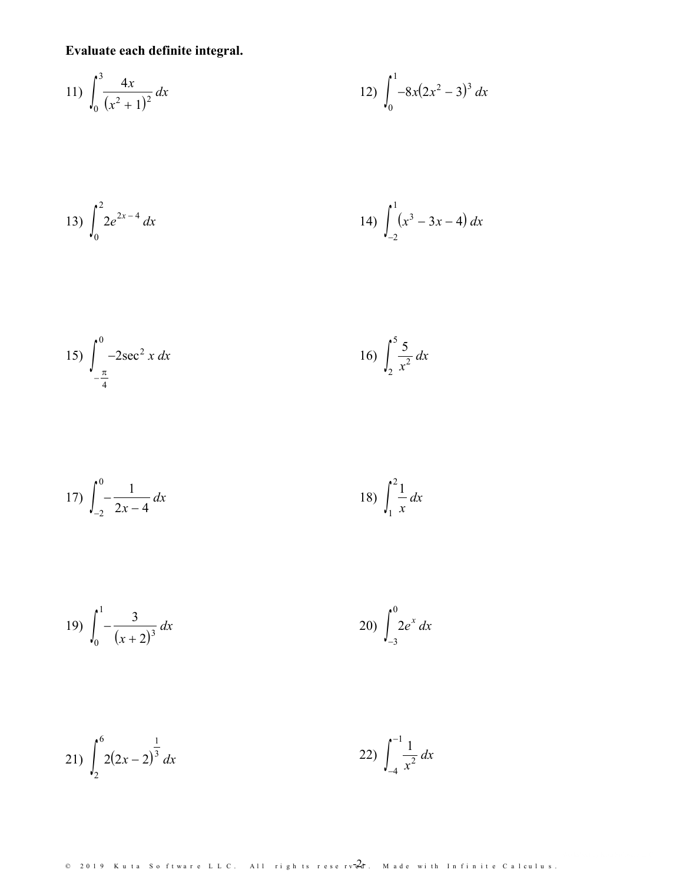Evaluate each definite integral.

11) 
$$
\int_0^3 \frac{4x}{(x^2+1)^2} dx
$$
 12) 
$$
\int_0^1 -8x(2x^2-3)^3 dx
$$

13) 
$$
\int_0^2 2e^{2x-4} dx
$$
 14) 
$$
\int_{-2}^1 (x^3 - 3x - 4) dx
$$

15) 
$$
\int_{-\frac{\pi}{4}}^{0} -2\sec^2 x \, dx
$$
 16) 
$$
\int_{2}^{5} \frac{5}{x^2} \, dx
$$

17) 
$$
\int_{-2}^{0} \frac{1}{2x-4} dx
$$
 18) 
$$
\int_{1}^{2} \frac{1}{x} dx
$$

19) 
$$
\int_0^1 -\frac{3}{(x+2)^3} dx
$$
 20) 
$$
\int_{-3}^0 2e^x dx
$$

21) 
$$
\int_{2}^{6} 2(2x-2)^{\frac{1}{3}} dx
$$
 22) 
$$
\int_{-4}^{-1} \frac{1}{x^2} dx
$$

 $\circ$  2019 Kuta Software LLC. All rights reserv $2d$ r. Made with Infinite Calculus.